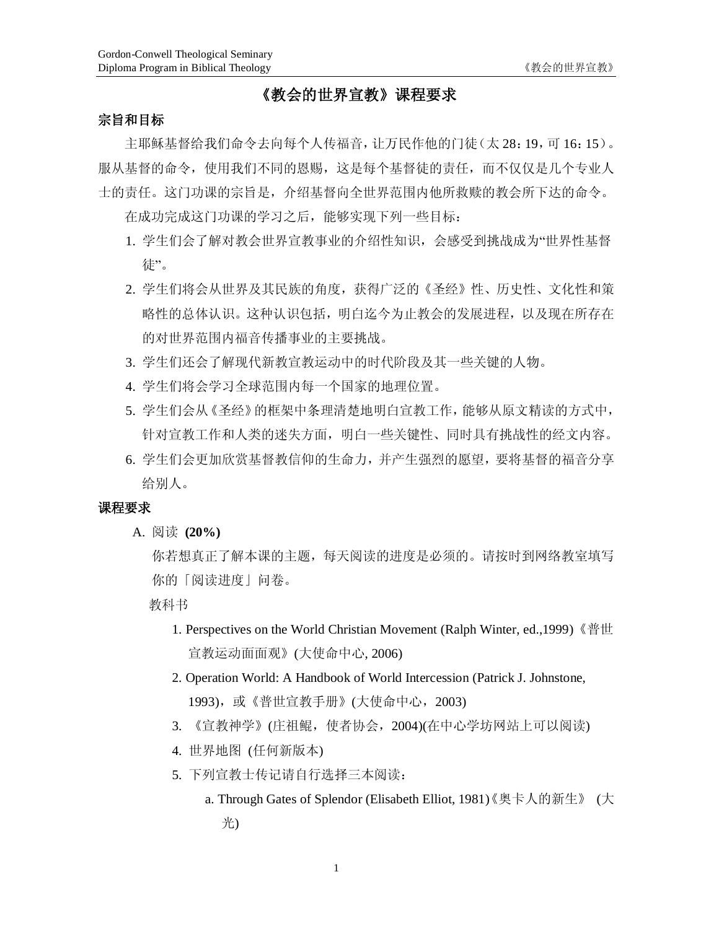# **《教会的世界宣教》课程要求**

# **宗旨和目标**

主耶稣基督给我们命令去向每个人传福音,让万民作他的门徒(太 28:19,可 16:15)。 服从基督的命令,使用我们不同的恩赐,这是每个基督徒的责任,而不仅仅是几个专业人 士的责任。这门功课的宗旨是,介绍基督向全世界范围内他所救赎的教会所下达的命令。

在成功完成这门功课的学习之后,能够实现下列一些目标:

- 1. 学生们会了解对教会世界宣教事业的介绍性知识,会感受到挑战成为"世界性基督 徒"。
- 2. 学生们将会从世界及其民族的角度,获得广泛的《圣经》性、历史性、文化性和策 略性的总体认识。这种认识包括,明白迄今为止教会的发展进程,以及现在所存在 的对世界范围内福音传播事业的主要挑战。
- 3. 学生们还会了解现代新教宣教运动中的时代阶段及其一些关键的人物。
- 4. 学生们将会学习全球范围内每一个国家的地理位置。
- 5. 学生们会从《圣经》的框架中条理清楚地明白宣教工作,能够从原文精读的方式中, 针对宣教工作和人类的迷失方面,明白一些关键性、同时具有挑战性的经文内容。
- 6. 学生们会更加欣赏基督教信仰的生命力,并产生强烈的愿望,要将基督的福音分享 给别人。

#### **课程要求**

A. 阅读 **(20%)** 

你若想真正了解本课的主题,每天阅读的进度是必须的。请按时到网络教室填写 你的「阅读进度」问卷。

教科书

- 1. Perspectives on the World Christian Movement (Ralph Winter, ed.,1999)《普世 宣教运动面面观》(大使命中心, 2006)
- 2. Operation World: A Handbook of World Intercession (Patrick J. Johnstone, 1993),或《普世宣教手册》(大使命中心,2003)
- 3. 《宣教神学》(庄祖鲲,使者协会,2004)(在中心学坊网站上可以阅读)
- 4. 世界地图 (任何新版本)
- 5. 下列宣教士传记请自行选择三本阅读:
	- a. Through Gates of Splendor (Elisabeth Elliot, 1981)《奥卡人的新生》 (大 光)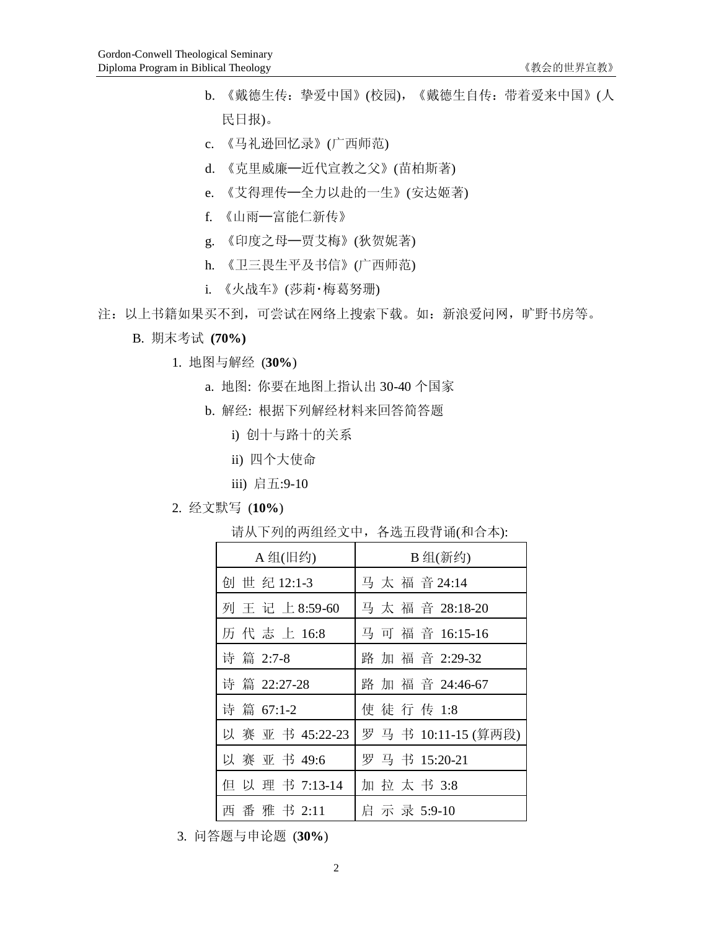- b. 《戴德生传:挚爱中国》(校园),《戴德生自传:带着爱来中国》(人 民日报)。
- c. 《马礼逊回忆录》(广西师范)
- d. 《克里威廉─近代宣教之父》(苗柏斯著)
- e. 《艾得理传─全力以赴的一生》(安达姬著)
- f. 《山雨─富能仁新传》
- g. 《印度之母─贾艾梅》(狄贺妮著)
- h. 《卫三畏生平及书信》(广西师范)
- i. 《火战车》(莎莉‧梅葛努珊)
- 注: 以上书籍如果买不到, 可尝试在网络上搜索下载。如: 新浪爱问网, 旷野书房等。
	- B. 期末考试 **(70%)** 
		- 1. 地图与解经 (**30%**)
			- a. 地图: 你要在地图上指认出 30-40 个国家
			- b. 解经: 根据下列解经材料来回答简答题
				- i) 创十与路十的关系
				- ii) 四个大使命
				- iii) 启五:9-10
		- 2. 经文默写 (**10%**)

请从下列的两组经文中,各选五段背诵(和合本):

| A 组(旧约)          | B 组(新约)            |
|------------------|--------------------|
| 创世纪12:1-3        | 马太福音24:14          |
| 列王记上8:59-60      | 马太福音 28:18-20      |
| 历代志上16:8         | 马可福音 16:15-16      |
| 诗篇 2:7-8         | 路加福音 2:29-32       |
| 诗 篇 22:27-28     | 路加福音 24:46-67      |
| 诗 篇 67:1-2       | 使徒行传 1:8           |
| 以 赛 亚 书 45:22-23 | 罗马书 10:11-15 (算两段) |
| 以 赛 亚 书 49:6     | 罗马书 15:20-21       |
| 但 以 理 书 7:13-14  | 加 拉 太 书 3:8        |
| 西 番 雅 书 2:11     | 启示录 5:9-10         |

3. 问答题与申论题 (**30%**)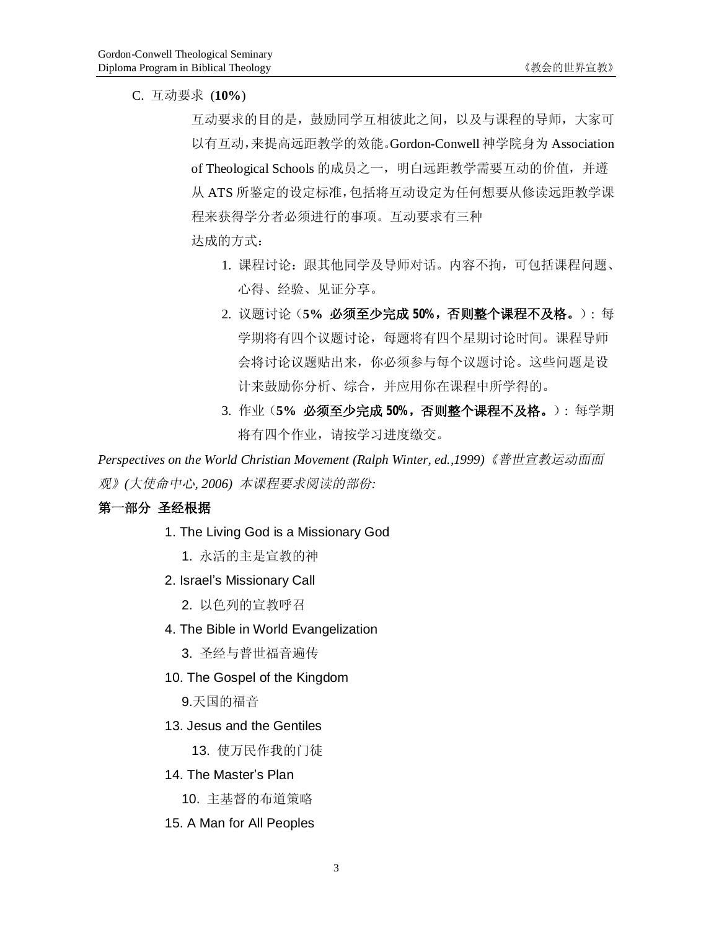C. 互动要求 (**10%**)

互动要求的目的是,鼓励同学互相彼此之间,以及与课程的导师,大家可 以有互动,来提高远距教学的效能。Gordon-Conwell 神学院身为 Association of Theological Schools 的成员之一, 明白远距教学需要互动的价值, 并遵 从 ATS 所鉴定的设定标准,包括将互动设定为任何想要从修读远距教学课 程来获得学分者必须进行的事项。互动要求有三种 达成的方式:

- 1. 课程讨论: 跟其他同学及导师对话。内容不拘, 可包括课程问题、 心得、经验、见证分享。
- 2. 议题讨论(**5% 必须至少完成 50%,否则整个课程不及格。**): 每 学期将有四个议题讨论,每题将有四个星期讨论时间。课程导师 会将讨论议题贴出来,你必须参与每个议题讨论。这些问题是设 计来鼓励你分析、综合,并应用你在课程中所学得的。
- 3. 作业(**5% 必须至少完成 50%,否则整个课程不及格。**): 每学期 将有四个作业,请按学习进度缴交。

*Perspectives on the World Christian Movement (Ralph Winter, ed.,1999)《普世宣教运动面面 观》(大使命中心, 2006) 本课程要求阅读的部份:*

### **第一部分 圣经根据**

- 1. The Living God is a Missionary God
	- 1. 永活的主是宣教的神
- 2. Israel's Missionary Call
	- 2. 以色列的宣教呼召
- 4. The Bible in World Evangelization
	- 3. 圣经与普世福音遍传
- 10. The Gospel of the Kingdom
	- 9.天国的福音
- 13. Jesus and the Gentiles
	- 13. 使万民作我的门徒
- 14. The Master's Plan
	- 10. 主基督的布道策略
- 15. A Man for All Peoples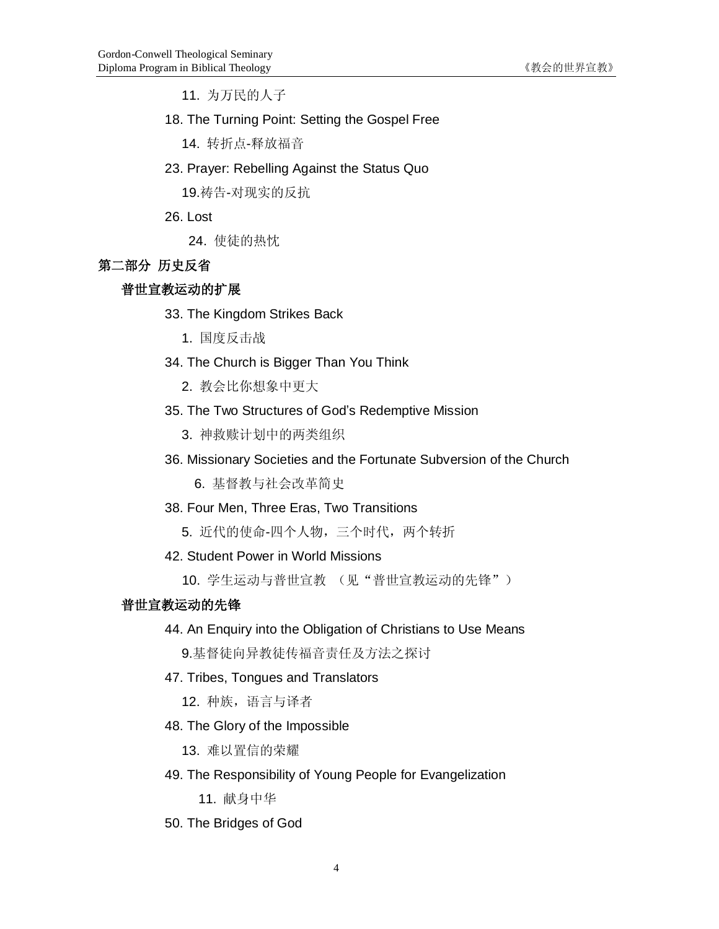11. 为万民的人子

18. The Turning Point: Setting the Gospel Free

14. 转折点-释放福音

23. Prayer: Rebelling Against the Status Quo

19.祷告-对现实的反抗

26. Lost

24. 使徒的热忱

# **第二部分 历史反省**

## **普世宣教运动的扩展**

- 33. The Kingdom Strikes Back
	- 1. 国度反击战
- 34. The Church is Bigger Than You Think
	- 2. 教会比你想象中更大
- 35. The Two Structures of God's Redemptive Mission
	- 3. 神救赎计划中的两类组织
- 36. Missionary Societies and the Fortunate Subversion of the Church

6. 基督教与社会改革简史

38. Four Men, Three Eras, Two Transitions

5. 近代的使命-四个人物,三个时代,两个转折

# 42. Student Power in World Missions

10. 学生运动与普世宣教 (见"普世宣教运动的先锋")

# **普世宣教运动的先锋**

44. An Enquiry into the Obligation of Christians to Use Means

9.基督徒向异教徒传福音责任及方法之探讨

47. Tribes, Tongues and Translators

12. 种族,语言与译者

48. The Glory of the Impossible

13. 难以置信的荣耀

49. The Responsibility of Young People for Evangelization

11. 献身中华

50. The Bridges of God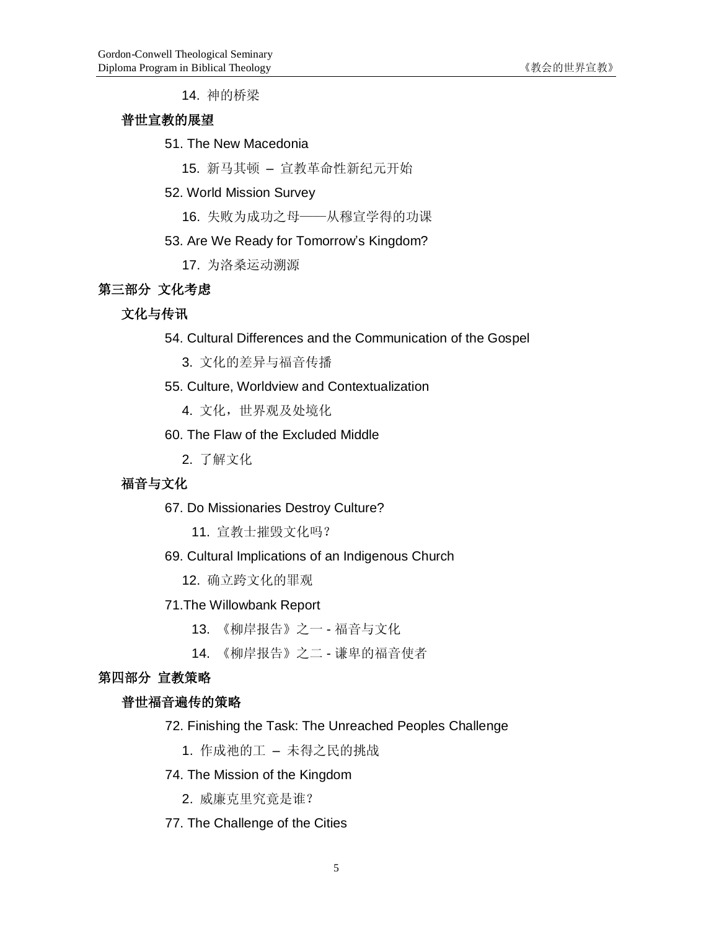14. 神的桥梁

### **普世宣教的展望**

# 51. The New Macedonia

15. 新马其顿 – 宣教革命性新纪元开始

#### 52. World Mission Survey

16. 失败为成功之母——从穆宣学得的功课

# 53. Are We Ready for Tomorrow's Kingdom?

17. 为洛桑运动溯源

# **第三部分 文化考虑**

# **文化与传讯**

- 54. Cultural Differences and the Communication of the Gospel
	- 3. 文化的差异与福音传播

### 55. Culture, Worldview and Contextualization

4. 文化,世界观及处境化

# 60. The Flaw of the Excluded Middle

2. 了解文化

# **福音与文化**

#### 67. Do Missionaries Destroy Culture?

11. 宣教士摧毁文化吗?

### 69. Cultural Implications of an Indigenous Church

12. 确立跨文化的罪观

#### 71.The Willowbank Report

- 13. 《柳岸报告》之一 福音与文化
- 14. 《柳岸报告》之二 谦卑的福音使者

#### **第四部分 宣教策略**

#### **普世福音遍传的策略**

- 72. Finishing the Task: The Unreached Peoples Challenge
	- 1. 作成祂的工 未得之民的挑战

# 74. The Mission of the Kingdom

- 2. 威廉克里究竟是谁?
- 77. The Challenge of the Cities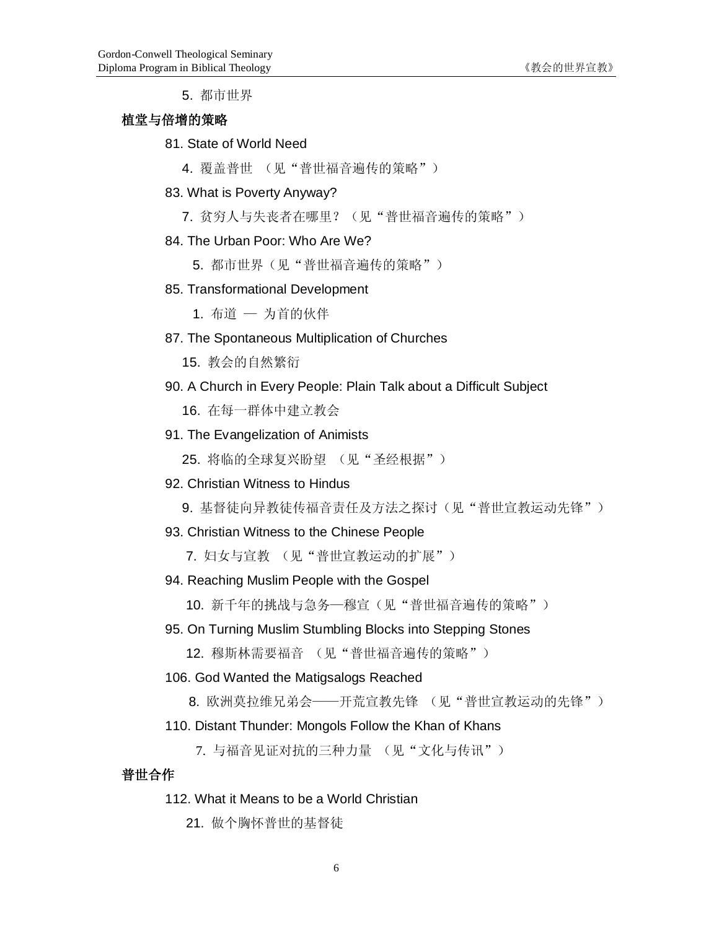5. 都市世界

# **植堂与倍增的策略**

# 81. State of World Need

4. 覆盖普世 (见"普世福音遍传的策略")

#### 83. What is Poverty Anyway?

7. 贫穷人与失丧者在哪里?(见"普世福音遍传的策略")

### 84. The Urban Poor: Who Are We?

5. 都市世界(见"普世福音遍传的策略")

#### 85. Transformational Development

1. 布道 — 为首的伙伴

### 87. The Spontaneous Multiplication of Churches

15. 教会的自然繁衍

### 90. A Church in Every People: Plain Talk about a Difficult Subject

16. 在每一群体中建立教会

# 91. The Evangelization of Animists

25. 将临的全球复兴盼望 (见"圣经根据")

### 92. Christian Witness to Hindus

9. 基督徒向异教徒传福音责任及方法之探讨(见"普世宣教运动先锋")

#### 93. Christian Witness to the Chinese People

7. 妇女与宣教 (见"普世宣教运动的扩展")

#### 94. Reaching Muslim People with the Gospel

10. 新千年的挑战与急务—穆宣(见"普世福音遍传的策略")

### 95. On Turning Muslim Stumbling Blocks into Stepping Stones

12. 穆斯林需要福音 (见"普世福音遍传的策略")

#### 106. God Wanted the Matigsalogs Reached

8. 欧洲莫拉维兄弟会——开荒宣教先锋 (见"普世宣教运动的先锋")

#### 110. Distant Thunder: Mongols Follow the Khan of Khans

7. 与福音见证对抗的三种力量 (见"文化与传讯")

### **普世合作**

### 112. What it Means to be a World Christian

21. 做个胸怀普世的基督徒